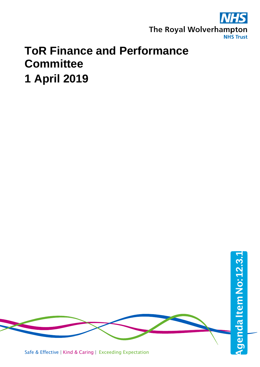

## **ToR Finance and Performance Committee 1 April 2019**

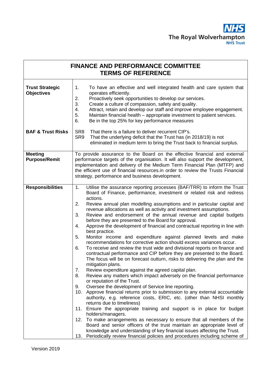

| <b>FINANCE AND PERFORMANCE COMMITTEE</b><br><b>TERMS OF REFERENCE</b> |                                                                                                                                                                                                                                                                                                                                                                                                                                                                                                                                                                                                                                                                                                                                                                                                                                                                                                                                                                                                                                                                                                                                                                                                                                                                                                                                                                                                                                                                                                                                                                                                                                                                                                                                                                                                                                                          |  |
|-----------------------------------------------------------------------|----------------------------------------------------------------------------------------------------------------------------------------------------------------------------------------------------------------------------------------------------------------------------------------------------------------------------------------------------------------------------------------------------------------------------------------------------------------------------------------------------------------------------------------------------------------------------------------------------------------------------------------------------------------------------------------------------------------------------------------------------------------------------------------------------------------------------------------------------------------------------------------------------------------------------------------------------------------------------------------------------------------------------------------------------------------------------------------------------------------------------------------------------------------------------------------------------------------------------------------------------------------------------------------------------------------------------------------------------------------------------------------------------------------------------------------------------------------------------------------------------------------------------------------------------------------------------------------------------------------------------------------------------------------------------------------------------------------------------------------------------------------------------------------------------------------------------------------------------------|--|
| <b>Trust Strategic</b><br><b>Objectives</b>                           | 1.<br>To have an effective and well integrated health and care system that<br>operates efficiently.<br>2.<br>Proactively seek opportunities to develop our services.<br>3.<br>Create a culture of compassion, safety and quality.<br>4.<br>Attract, retain and develop our staff and improve employee engagement.<br>5.<br>Maintain financial health - appropriate investment to patient services.<br>6.<br>Be in the top 25% for key performance measures                                                                                                                                                                                                                                                                                                                                                                                                                                                                                                                                                                                                                                                                                                                                                                                                                                                                                                                                                                                                                                                                                                                                                                                                                                                                                                                                                                                               |  |
| <b>BAF &amp; Trust Risks</b>                                          | SR <sub>8</sub><br>That there is a failure to deliver recurrent CIP's.<br>SR <sub>9</sub><br>That the underlying deficit that the Trust has (in 2018/19) is not<br>eliminated in medium term to bring the Trust back to financial surplus.                                                                                                                                                                                                                                                                                                                                                                                                                                                                                                                                                                                                                                                                                                                                                                                                                                                                                                                                                                                                                                                                                                                                                                                                                                                                                                                                                                                                                                                                                                                                                                                                               |  |
| <b>Meeting</b><br><b>Purpose/Remit</b>                                | To provide assurance to the Board on the effective financial and external<br>performance targets of the organisation. It will also support the development,<br>implementation and delivery of the Medium Term Financial Plan (MTFP) and<br>the efficient use of financial resources in order to review the Trusts Financial<br>strategy, performance and business development.                                                                                                                                                                                                                                                                                                                                                                                                                                                                                                                                                                                                                                                                                                                                                                                                                                                                                                                                                                                                                                                                                                                                                                                                                                                                                                                                                                                                                                                                           |  |
| <b>Responsibilities</b>                                               | Utilise the assurance reporting processes (BAF/TRR) to inform the Trust<br>1 <sub>1</sub><br>Board of Finance, performance, investment or related risk and redress<br>actions.<br>2.<br>Review annual plan modelling assumptions and in particular capital and<br>revenue allocations as well as activity and investment assumptions.<br>3.<br>Review and endorsement of the annual revenue and capital budgets<br>before they are presented to the Board for approval.<br>Approve the development of financial and contractual reporting in line with<br>4.<br>best practice.<br>Monitor income and expenditure against planned levels and make<br>5.<br>recommendations for corrective action should excess variances occur.<br>6.<br>To receive and review the trust wide and divisional reports on finance and<br>contractual performance and CIP before they are presented to the Board.<br>The focus will be on forecast outturn, risks to delivering the plan and the<br>mitigation plans.<br>Review expenditure against the agreed capital plan.<br>7.<br>Review any matters which impact adversely on the financial performance<br>8.<br>or reputation of the Trust.<br>Oversee the development of Service line reporting.<br>9.<br>Approve financial returns prior to submission to any external accountable<br>10.<br>authority, e.g. reference costs, ERIC, etc. (other than NHSI monthly<br>returns due to timeliness)<br>11. Ensure the appropriate training and support is in place for budget<br>holders/managers.<br>12. To make arrangements as necessary to ensure that all members of the<br>Board and senior officers of the trust maintain an appropriate level of<br>knowledge and understanding of key financial issues affecting the Trust.<br>Periodically review financial policies and procedures including scheme of<br>13. |  |

ŗ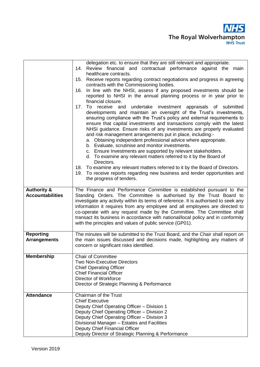

|                                                   | delegation etc. to ensure that they are still relevant and appropriate.<br>Review financial and contractual performance against the main<br>14.<br>healthcare contracts.<br>15. Receive reports regarding contract negotiations and progress in agreeing<br>contracts with the Commissioning bodies.<br>In line with the NHSI, assess if any proposed investments should be<br>16.<br>reported to NHSI in the annual planning process or in year prior to<br>financial closure.<br>17.<br>To<br>undertake investment appraisals of submitted<br>receive and<br>developments and maintain an oversight of the Trust's investments,<br>ensuring compliance with the Trust's policy and external requirements to<br>ensure that capital investments and transactions comply with the latest<br>NHSI guidance. Ensure risks of any investments are properly evaluated<br>and risk management arrangements put in place, including:-<br>a. Obtaining independent professional advice where appropriate.<br>b. Evaluate, scrutinise and monitor investments.<br>c. Ensure Investments are supported by relevant stakeholders.<br>d. To examine any relevant matters referred to it by the Board of<br>Directors.<br>18. To examine any relevant matters referred to it by the Board of Directors.<br>19. To receive reports regarding new business and tender opportunities and |
|---------------------------------------------------|---------------------------------------------------------------------------------------------------------------------------------------------------------------------------------------------------------------------------------------------------------------------------------------------------------------------------------------------------------------------------------------------------------------------------------------------------------------------------------------------------------------------------------------------------------------------------------------------------------------------------------------------------------------------------------------------------------------------------------------------------------------------------------------------------------------------------------------------------------------------------------------------------------------------------------------------------------------------------------------------------------------------------------------------------------------------------------------------------------------------------------------------------------------------------------------------------------------------------------------------------------------------------------------------------------------------------------------------------------------------------|
|                                                   | the progress of tenders.                                                                                                                                                                                                                                                                                                                                                                                                                                                                                                                                                                                                                                                                                                                                                                                                                                                                                                                                                                                                                                                                                                                                                                                                                                                                                                                                                  |
| <b>Authority &amp;</b><br><b>Accountabilities</b> | The Finance and Performance Committee is established pursuant to the<br>Standing Orders. The Committee is authorised by the Trust Board to<br>investigate any activity within its terms of reference. It is authorised to seek any<br>information it requires from any employee and all employees are directed to<br>co-operate with any request made by the Committee. The Committee shall<br>transact its business in accordance with national/local policy and in conformity<br>with the principles and values of public service (GP01).                                                                                                                                                                                                                                                                                                                                                                                                                                                                                                                                                                                                                                                                                                                                                                                                                               |
| <b>Reporting</b><br><b>Arrangements</b>           | The minutes will be submitted to the Trust Board, and the Chair shall report on<br>the main issues discussed and decisions made, highlighting any matters of<br>concern or significant risks identified.                                                                                                                                                                                                                                                                                                                                                                                                                                                                                                                                                                                                                                                                                                                                                                                                                                                                                                                                                                                                                                                                                                                                                                  |
| <b>Membership</b>                                 | <b>Chair of Committee</b><br><b>Two Non-Executive Directors</b><br><b>Chief Operating Officer</b><br><b>Chief Financial Officer</b><br>Director of Workforce<br>Director of Strategic Planning & Performance                                                                                                                                                                                                                                                                                                                                                                                                                                                                                                                                                                                                                                                                                                                                                                                                                                                                                                                                                                                                                                                                                                                                                              |
| <b>Attendance</b>                                 | <b>Chairman of the Trust</b><br><b>Chief Executive</b><br>Deputy Chief Operating Officer - Division 1<br>Deputy Chief Operating Officer - Division 2<br>Deputy Chief Operating Officer - Division 3<br>Divisional Manager - Estates and Facilities<br>Deputy Chief Financial Officer<br>Deputy Director of Strategic Planning & Performance                                                                                                                                                                                                                                                                                                                                                                                                                                                                                                                                                                                                                                                                                                                                                                                                                                                                                                                                                                                                                               |